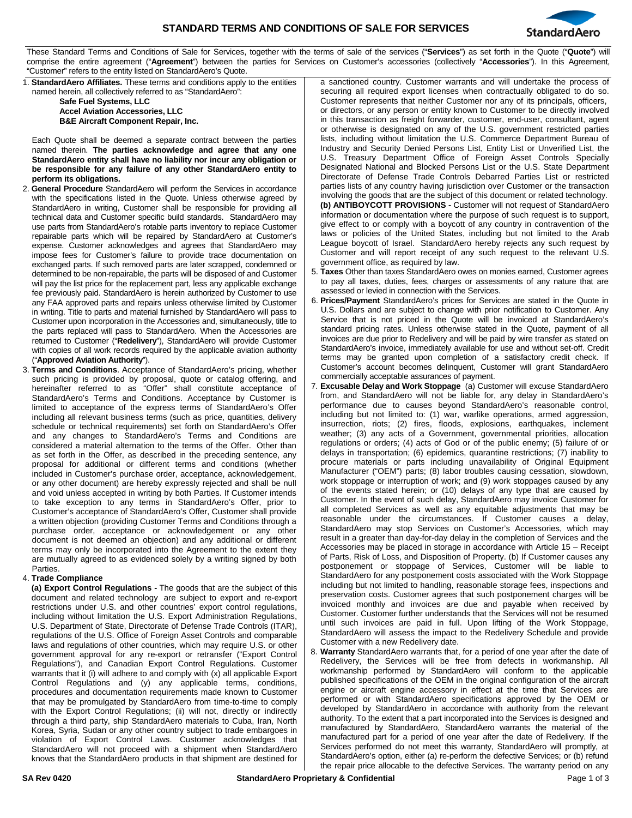

These Standard Terms and Conditions of Sale for Services, together with the terms of sale of the services ("**Services**") as set forth in the Quote ("**Quote**") will comprise the entire agreement ("**Agreement**") between the parties for Services on Customer's accessories (collectively "**Accessories**"). In this Agreement, "Customer" refers to the entity listed on StandardAero's Quote.

1. **StandardAero Affiliates.** These terms and conditions apply to the entities named herein, all collectively referred to as "StandardAero":

**Safe Fuel Systems, LLC Accel Aviation Accessories, LLC B&E Aircraft Component Repair, Inc.**

Each Quote shall be deemed a separate contract between the parties named therein. **The parties acknowledge and agree that any one StandardAero entity shall have no liability nor incur any obligation or be responsible for any failure of any other StandardAero entity to perform its obligations.**

- 2. **General Procedure** StandardAero will perform the Services in accordance with the specifications listed in the Quote. Unless otherwise agreed by StandardAero in writing, Customer shall be responsible for providing all technical data and Customer specific build standards. StandardAero may use parts from StandardAero's rotable parts inventory to replace Customer repairable parts which will be repaired by StandardAero at Customer's expense. Customer acknowledges and agrees that StandardAero may impose fees for Customer's failure to provide trace documentation on exchanged parts. If such removed parts are later scrapped, condemned or determined to be non-repairable, the parts will be disposed of and Customer will pay the list price for the replacement part, less any applicable exchange fee previously paid. StandardAero is herein authorized by Customer to use any FAA approved parts and repairs unless otherwise limited by Customer in writing. Title to parts and material furnished by StandardAero will pass to Customer upon incorporation in the Accessories and, simultaneously, title to the parts replaced will pass to StandardAero. When the Accessories are returned to Customer ("**Redelivery**"), StandardAero will provide Customer with copies of all work records required by the applicable aviation authority ("**Approved Aviation Authority**").
- 3. **Terms and Conditions**. Acceptance of StandardAero's pricing, whether such pricing is provided by proposal, quote or catalog offering, and hereinafter referred to as "Offer" shall constitute acceptance of StandardAero's Terms and Conditions. Acceptance by Customer is limited to acceptance of the express terms of StandardAero's Offer including all relevant business terms (such as price, quantities, delivery schedule or technical requirements) set forth on StandardAero's Offer and any changes to StandardAero's Terms and Conditions are considered a material alternation to the terms of the Offer. Other than as set forth in the Offer, as described in the preceding sentence, any proposal for additional or different terms and conditions (whether included in Customer's purchase order, acceptance, acknowledgement, or any other document) are hereby expressly rejected and shall be null and void unless accepted in writing by both Parties. If Customer intends to take exception to any terms in StandardAero's Offer, prior to Customer's acceptance of StandardAero's Offer, Customer shall provide a written objection (providing Customer Terms and Conditions through a purchase order, acceptance or acknowledgement or any other document is not deemed an objection) and any additional or different terms may only be incorporated into the Agreement to the extent they are mutually agreed to as evidenced solely by a writing signed by both Parties.

## 4. **Trade Compliance**

**(a) Export Control Regulations -** The goods that are the subject of this document and related technology are subject to export and re-export restrictions under U.S. and other countries' export control regulations, including without limitation the U.S. Export Administration Regulations, U.S. Department of State, Directorate of Defense Trade Controls (ITAR), regulations of the U.S. Office of Foreign Asset Controls and comparable laws and regulations of other countries, which may require U.S. or other government approval for any re-export or retransfer ("Export Control Regulations"), and Canadian Export Control Regulations. Customer warrants that it (i) will adhere to and comply with (x) all applicable Export Control Regulations and (y) any applicable terms, conditions, procedures and documentation requirements made known to Customer that may be promulgated by StandardAero from time-to-time to comply with the Export Control Regulations; (ii) will not, directly or indirectly through a third party, ship StandardAero materials to Cuba, Iran, North Korea, Syria, Sudan or any other country subject to trade embargoes in violation of Export Control Laws. Customer acknowledges that StandardAero will not proceed with a shipment when StandardAero knows that the StandardAero products in that shipment are destined for a sanctioned country. Customer warrants and will undertake the process of securing all required export licenses when contractually obligated to do so. Customer represents that neither Customer nor any of its principals, officers, or directors, or any person or entity known to Customer to be directly involved in this transaction as freight forwarder, customer, end-user, consultant, agent or otherwise is designated on any of the U.S. government restricted parties lists, including without limitation the U.S. Commerce Department Bureau of Industry and Security Denied Persons List, Entity List or Unverified List, the U.S. Treasury Department Office of Foreign Asset Controls Specially Designated National and Blocked Persons List or the U.S. State Department Directorate of Defense Trade Controls Debarred Parties List or restricted parties lists of any country having jurisdiction over Customer or the transaction involving the goods that are the subject of this document or related technology. **(b) ANTIBOYCOTT PROVISIONS -** Customer will not request of StandardAero information or documentation where the purpose of such request is to support, give effect to or comply with a boycott of any country in contravention of the laws or policies of the United States, including but not limited to the Arab League boycott of Israel. StandardAero hereby rejects any such request by Customer and will report receipt of any such request to the relevant U.S. government office, as required by law.

- 5. **Taxes** Other than taxes StandardAero owes on monies earned, Customer agrees to pay all taxes, duties, fees, charges or assessments of any nature that are assessed or levied in connection with the Services.
- 6. **Prices/Payment** StandardAero's prices for Services are stated in the Quote in U.S. Dollars and are subject to change with prior notification to Customer. Any Service that is not priced in the Quote will be invoiced at StandardAero's standard pricing rates. Unless otherwise stated in the Quote, payment of all invoices are due prior to Redelivery and will be paid by wire transfer as stated on StandardAero's invoice, immediately available for use and without set-off. Credit terms may be granted upon completion of a satisfactory credit check. If Customer's account becomes delinquent, Customer will grant StandardAero commercially acceptable assurances of payment.
- 7. **Excusable Delay and Work Stoppage** (a) Customer will excuse StandardAero from, and StandardAero will not be liable for, any delay in StandardAero's performance due to causes beyond StandardAero's reasonable control, including but not limited to: (1) war, warlike operations, armed aggression, insurrection, riots; (2) fires, floods, explosions, earthquakes, inclement weather; (3) any acts of a Government, governmental priorities, allocation regulations or orders; (4) acts of God or of the public enemy; (5) failure of or delays in transportation; (6) epidemics, quarantine restrictions; (7) inability to procure materials or parts including unavailability of Original Equipment Manufacturer ("OEM") parts; (8) labor troubles causing cessation, slowdown, work stoppage or interruption of work; and (9) work stoppages caused by any of the events stated herein; or (10) delays of any type that are caused by Customer. In the event of such delay, StandardAero may invoice Customer for all completed Services as well as any equitable adjustments that may be reasonable under the circumstances. If Customer causes a delay, StandardAero may stop Services on Customer's Accessories, which may result in a greater than day-for-day delay in the completion of Services and the Accessories may be placed in storage in accordance with Article 15 – Receipt of Parts, Risk of Loss, and Disposition of Property. (b) If Customer causes any postponement or stoppage of Services, Customer will be liable to StandardAero for any postponement costs associated with the Work Stoppage including but not limited to handling, reasonable storage fees, inspections and preservation costs. Customer agrees that such postponement charges will be invoiced monthly and invoices are due and payable when received by Customer. Customer further understands that the Services will not be resumed until such invoices are paid in full. Upon lifting of the Work Stoppage, StandardAero will assess the impact to the Redelivery Schedule and provide Customer with a new Redelivery date.

8. **Warranty** StandardAero warrants that, for a period of one year after the date of Redelivery, the Services will be free from defects in workmanship. All workmanship performed by StandardAero will conform to the applicable published specifications of the OEM in the original configuration of the aircraft engine or aircraft engine accessory in effect at the time that Services are performed or with StandardAero specifications approved by the OEM or developed by StandardAero in accordance with authority from the relevant authority. To the extent that a part incorporated into the Services is designed and manufactured by StandardAero, StandardAero warrants the material of the manufactured part for a period of one year after the date of Redelivery. If the Services performed do not meet this warranty, StandardAero will promptly, at StandardAero's option, either (a) re-perform the defective Services; or (b) refund the repair price allocable to the defective Services. The warranty period on any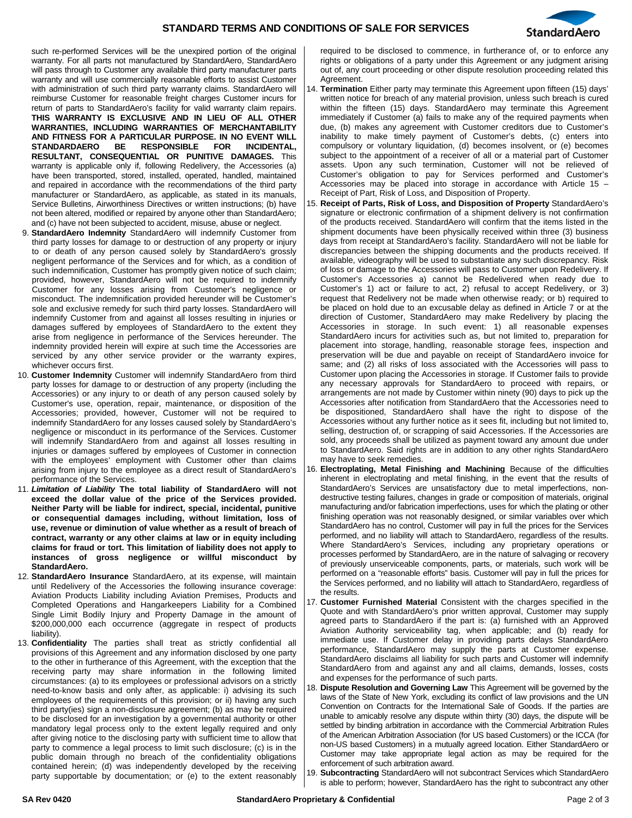

such re-performed Services will be the unexpired portion of the original warranty. For all parts not manufactured by StandardAero, StandardAero will pass through to Customer any available third party manufacturer parts warranty and will use commercially reasonable efforts to assist Customer with administration of such third party warranty claims. StandardAero will reimburse Customer for reasonable freight charges Customer incurs for return of parts to StandardAero's facility for valid warranty claim repairs. **THIS WARRANTY IS EXCLUSIVE AND IN LIEU OF ALL OTHER WARRANTIES, INCLUDING WARRANTIES OF MERCHANTABILITY AND FITNESS FOR A PARTICULAR PURPOSE. IN NO EVENT WILL STANDARDAERO RESULTANT, CONSEQUENTIAL OR PUNITIVE DAMAGES.** This warranty is applicable only if, following Redelivery, the Accessories (a) have been transported, stored, installed, operated, handled, maintained and repaired in accordance with the recommendations of the third party manufacturer or StandardAero, as applicable, as stated in its manuals, Service Bulletins, Airworthiness Directives or written instructions; (b) have not been altered, modified or repaired by anyone other than StandardAero; and (c) have not been subjected to accident, misuse, abuse or neglect.

- 9. **StandardAero Indemnity** StandardAero will indemnify Customer from third party losses for damage to or destruction of any property or injury to or death of any person caused solely by StandardAero's grossly negligent performance of the Services and for which, as a condition of such indemnification, Customer has promptly given notice of such claim; provided, however, StandardAero will not be required to indemnify Customer for any losses arising from Customer's negligence or misconduct. The indemnification provided hereunder will be Customer's sole and exclusive remedy for such third party losses. StandardAero will indemnify Customer from and against all losses resulting in injuries or damages suffered by employees of StandardAero to the extent they arise from negligence in performance of the Services hereunder. The indemnity provided herein will expire at such time the Accessories are serviced by any other service provider or the warranty expires, whichever occurs first.
- 10. **Customer Indemnity** Customer will indemnify StandardAero from third party losses for damage to or destruction of any property (including the Accessories) or any injury to or death of any person caused solely by Customer's use, operation, repair, maintenance, or disposition of the Accessories; provided, however, Customer will not be required to indemnify StandardAero for any losses caused solely by StandardAero's negligence or misconduct in its performance of the Services. Customer will indemnify StandardAero from and against all losses resulting in injuries or damages suffered by employees of Customer in connection with the employees' employment with Customer other than claims arising from injury to the employee as a direct result of StandardAero's performance of the Services.
- 11. *Limitation of Liability* **The total liability of StandardAero will not exceed the dollar value of the price of the Services provided. Neither Party will be liable for indirect, special, incidental, punitive or consequential damages including, without limitation, loss of use, revenue or diminution of value whether as a result of breach of contract, warranty or any other claims at law or in equity including claims for fraud or tort. This limitation of liability does not apply to instances of gross negligence or willful misconduct by StandardAero.**
- 12. **StandardAero Insurance** StandardAero, at its expense, will maintain until Redelivery of the Accessories the following insurance coverage: Aviation Products Liability including Aviation Premises, Products and Completed Operations and Hangarkeepers Liability for a Combined Single Limit Bodily Injury and Property Damage in the amount of \$200,000,000 each occurrence (aggregate in respect of products liability).
- 13. **Confidentiality** The parties shall treat as strictly confidential all provisions of this Agreement and any information disclosed by one party to the other in furtherance of this Agreement, with the exception that the receiving party may share information in the following limited circumstances: (a) to its employees or professional advisors on a strictly need-to-know basis and only after, as applicable: i) advising its such employees of the requirements of this provision; or ii) having any such third party(ies) sign a non-disclosure agreement; (b) as may be required to be disclosed for an investigation by a governmental authority or other mandatory legal process only to the extent legally required and only after giving notice to the disclosing party with sufficient time to allow that party to commence a legal process to limit such disclosure; (c) is in the public domain through no breach of the confidentiality obligations contained herein; (d) was independently developed by the receiving party supportable by documentation; or (e) to the extent reasonably

required to be disclosed to commence, in furtherance of, or to enforce any rights or obligations of a party under this Agreement or any judgment arising out of, any court proceeding or other dispute resolution proceeding related this Agreement.

- 14. **Termination** Either party may terminate this Agreement upon fifteen (15) days' written notice for breach of any material provision, unless such breach is cured within the fifteen (15) days. StandardAero may terminate this Agreement immediately if Customer (a) fails to make any of the required payments when due, (b) makes any agreement with Customer creditors due to Customer's inability to make timely payment of Customer's debts, (c) enters into compulsory or voluntary liquidation, (d) becomes insolvent, or (e) becomes subject to the appointment of a receiver of all or a material part of Customer assets. Upon any such termination, Customer will not be relieved of Customer's obligation to pay for Services performed and Customer's Accessories may be placed into storage in accordance with Article 15 – Receipt of Part, Risk of Loss, and Disposition of Property.
- 15. **Receipt of Parts, Risk of Loss, and Disposition of Property** StandardAero's signature or electronic confirmation of a shipment delivery is not confirmation of the products received. StandardAero will confirm that the items listed in the shipment documents have been physically received within three (3) business days from receipt at StandardAero's facility. StandardAero will not be liable for discrepancies between the shipping documents and the products received. If available, videography will be used to substantiate any such discrepancy. Risk of loss or damage to the Accessories will pass to Customer upon Redelivery. If Customer's Accessories a) cannot be Redelivered when ready due to Customer's 1) act or failure to act, 2) refusal to accept Redelivery, or 3) request that Redelivery not be made when otherwise ready; or b) required to be placed on hold due to an excusable delay as defined in Article 7 or at the direction of Customer, StandardAero may make Redelivery by placing the Accessories in storage. In such event: 1) all reasonable expenses StandardAero incurs for activities such as, but not limited to, preparation for placement into storage, handling, reasonable storage fees, inspection and preservation will be due and payable on receipt of StandardAero invoice for same; and (2) all risks of loss associated with the Accessories will pass to Customer upon placing the Accessories in storage. If Customer fails to provide any necessary approvals for StandardAero to proceed with repairs, or arrangements are not made by Customer within ninety (90) days to pick up the Accessories after notification from StandardAero that the Accessories need to be dispositioned, StandardAero shall have the right to dispose of the Accessories without any further notice as it sees fit, including but not limited to, selling, destruction of, or scrapping of said Accessories. If the Accessories are sold, any proceeds shall be utilized as payment toward any amount due under to StandardAero. Said rights are in addition to any other rights StandardAero may have to seek remedies.
- 16. **Electroplating, Metal Finishing and Machining** Because of the difficulties inherent in electroplating and metal finishing, in the event that the results of StandardAero's Services are unsatisfactory due to metal imperfections, nondestructive testing failures, changes in grade or composition of materials, original manufacturing and/or fabrication imperfections, uses for which the plating or other finishing operation was not reasonably designed, or similar variables over which StandardAero has no control, Customer will pay in full the prices for the Services performed, and no liability will attach to StandardAero, regardless of the results. Where StandardAero's Services, including any proprietary operations or processes performed by StandardAero, are in the nature of salvaging or recovery of previously unserviceable components, parts, or materials, such work will be performed on a "reasonable efforts" basis. Customer will pay in full the prices for the Services performed, and no liability will attach to StandardAero, regardless of the results.
- 17. **Customer Furnished Material** Consistent with the charges specified in the Quote and with StandardAero's prior written approval, Customer may supply agreed parts to StandardAero if the part is: (a) furnished with an Approved Aviation Authority serviceability tag, when applicable; and (b) ready for immediate use. If Customer delay in providing parts delays StandardAero performance, StandardAero may supply the parts at Customer expense. StandardAero disclaims all liability for such parts and Customer will indemnify StandardAero from and against any and all claims, demands, losses, costs and expenses for the performance of such parts.
- 18. **Dispute Resolution and Governing Law** This Agreement will be governed by the laws of the State of New York, excluding its conflict of law provisions and the UN Convention on Contracts for the International Sale of Goods. If the parties are unable to amicably resolve any dispute within thirty (30) days, the dispute will be settled by binding arbitration in accordance with the Commercial Arbitration Rules of the American Arbitration Association (for US based Customers) or the ICCA (for non-US based Customers) in a mutually agreed location. Either StandardAero or Customer may take appropriate legal action as may be required for the enforcement of such arbitration award.
- 19. **Subcontracting** StandardAero will not subcontract Services which StandardAero is able to perform; however, StandardAero has the right to subcontract any other